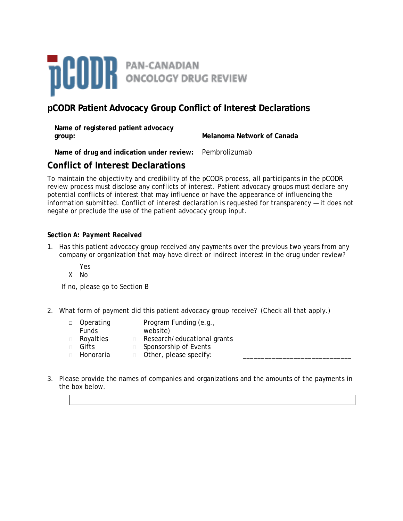

# **pCODR Patient Advocacy Group Conflict of Interest Declarations**

| Name of registered patient advocacy |                            |
|-------------------------------------|----------------------------|
| group:                              | Melanoma Network of Canada |

**Name of drug and indication under review:** Pembrolizumab

# **Conflict of Interest Declarations**

To maintain the objectivity and credibility of the pCODR process, all participants in the pCODR review process must disclose any conflicts of interest. Patient advocacy groups must declare any potential conflicts of interest that may influence or have the appearance of influencing the information submitted. Conflict of interest declaration is requested for transparency — it does not negate or preclude the use of the patient advocacy group input.

## *Section A: Payment Received*

1. Has this patient advocacy group received any payments over the previous two years from any company or organization that may have direct or indirect interest in the drug under review?

Yes

X No

If no, please go to Section B

2. What form of payment did this patient advocacy group receive? (Check all that apply.)

| □ Operating  | Program Funding (e.g.,             |
|--------------|------------------------------------|
| <b>Funds</b> | website)                           |
| □ Royalties  | $\Box$ Research/educational grants |
| □ Gifts      | $\Box$ Sponsorship of Events       |
| □ Honoraria  | $\Box$ Other, please specify:      |

3. Please provide the names of companies and organizations and the amounts of the payments in the box below.